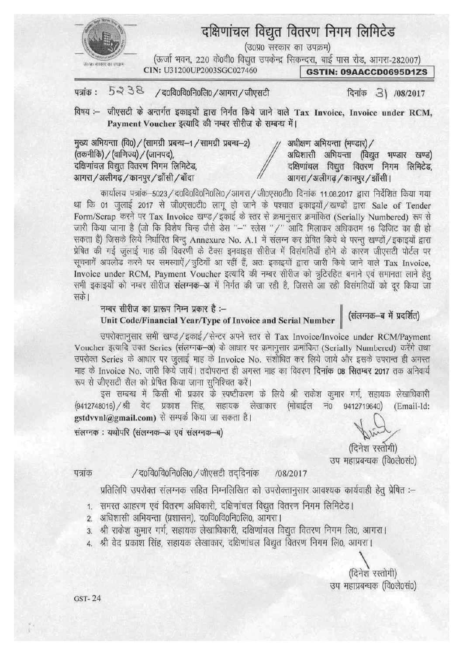

# दक्षिणांचल विद्युत वितरण निगम लिमिटेड

(उ०प्र० सरकार का उपक्रम)

(ऊर्जा भवन, 220 के0वी0 विद्युत उपकेन्द्र सिकन्दरा, बाई पास रोड, आगरा-282007)

**GSTIN: 09AACCD0695D1ZS** 

5238 पत्रांक: / द0वि0वि0नि0लि0 / आगरा / जीएसटी

CIN: U31200UP2003SGC027460

दिनांक 3) /08/2017

विषय :- जीएसटी के अन्तर्गत इकाइयों द्वारा निर्गत किये जाने वाले Tax Invoice, Invoice under RCM, Payment Voucher इत्यादि की नम्बर सीरीज के सम्बन्ध में।

मुख्य अभियन्ता (वि0) / (सामग्री प्रबन्ध-1 / सामग्री प्रबन्ध-2) (तकनीकि) / (वाणिज्य) / (जानपद), दक्षिणांचल विद्युत वितरण निगम लिमिटेड, आगरा / अलीगढ़ / कानपुर / झाँसी / बाँदा

अधीक्षण अभियन्ता (भण्डार) / अधिशासी अभियन्ता (विद्युत भण्डार खण्ड) दक्षिणांचल विद्युत वितरण निगम लिमिटेड, आगरा / अलीगढ़ / कानपुर / झाँसी।

कार्यालय पत्रांक-5023 / द0वि0वि0नि0लि0 / आगरा / जी0एस0टी0 दिनांक 11.08.2017 द्वारा निर्देशित किया गया था कि 01 जुलाई 2017 से जी0एस0टी0 लागू हो जाने के पश्चात इकाइयों /खण्डों द्वारा Sale of Tender Form/Scrap करने पर Tax Invoice खण्ड/इकाई के स्तर से क्रमानुसार क्रमांकित (Serially Numbered) रूप से जारी किया जाना है (जो कि विशेष चिन्ह जैसे डेस "-" स्लेस "/" आदि मिलाकर अधिकतम 16 डिजिट का ही हो सकता है) जिसके लिये निर्धारित बिन्दू Annexure No. A.1 में संलग्न कर प्रेषित किये थे परन्तू खण्डों / इकाइयों द्वारा प्रेषित की गई जुलाई माह की विवरणी के टैक्स इनवाइस सीरीज में विसंगतियाँ होने के कारण जीएसटी पोर्टल पर सूचनायें अपलोड करने पर समस्याऐं / त्रुटियाँ आ रहीं हैं, अतः इकाइयों द्वारा जारी किये जाने वाले Tax Invoice, Invoice under RCM, Payment Voucher इत्यादि की नम्बर सीरीज को त्रूटिरहित बनाने एवं समानता लाने हेतू सभी इकाइयों को नम्बर सीरीज **संलग्नक–अ** में निर्गत की जा रही है. जिससे आ रही विसंगतियों को दर किया जा सकें।

नम्बर सीरीज का प्रारूप निम्न प्रकार है :--Unit Code/Financial Year/Type of Invoice and Serial Number

(संलग्नक-ब में प्रदर्शित)

उपरोक्तानुसार सभी खण्ड/इकाई/सेन्टर अपने स्तर से Tax Invoice/Invoice under RCM/Payment Voucher इत्यादि उक्त Series (संलग्नक-अ) के आधार पर क्रमानुसार क्रमांकित (Serially Numbered) करेंगे तथा उपरोक्त Series के आधार पर जुलाई माह के Invoice No. संशोधित कर लिये जाये और इसके उपरान्त ही अगस्त माह के Invoice No. जारी किये जायें। तदोपरान्त ही अगस्त माह का विवरण **दिनांक 08 सितम्बर 2017** तक अनिवार्य रूप से जीएसटी सैल को प्रेषित किया जाना सुनिश्चित करें।

इस सम्बन्ध में किसी भी प्रकार के स्पष्टीकरण के लिये श्री राकेश कुमार गर्ग, सहायक लेखाधिकारी (9412748016) /श्री वेद प्रकाश सिंह, सहायक लेखाकार (मोबाईल नं0 9412719640) (Email-Id: gstdvvnl@gmail.com) से सम्पर्क किया जा सकता है।

संलग्नक: यथोपरि (संलग्नक-अ एवं संलग्नक-ब)

(दिनेश रस्तीगी)

उप महाप्रबन्धक (वि०ले०सं०)

पत्रांक

#### / द0वि0वि0नि0लि0 / जीएसटी तददिनांक /08/2017

प्रतिलिपि उपरोक्त संलग्नक सहित निम्नलिखित को उपरोक्तानुसार आवश्यक कार्यवाही हेतू प्रेषित :--

- 1. समस्त आहरण एवं वितरण अधिकारी, दक्षिणांचल विद्युत वितरण निगम लिमिटेड।
- 2. अधिशासी अभियन्ता (प्रशासन), द0वि0वि0नि0लि0, आगरा।
- 3. श्री राकेश कुमार गर्ग, सहायक लेखाधिकारी, दक्षिणांचल विद्युत वितरण निगम लि0, आगरा।
- 4. श्री वेद प्रकाश सिंह, सहायक लेखाकार, दक्षिणांचल विद्युत वितरण निगम लि0, आगरा।

(दिनेश रस्तोगी) उप महाप्रबन्धक (वि०ले०सं०)

GST-24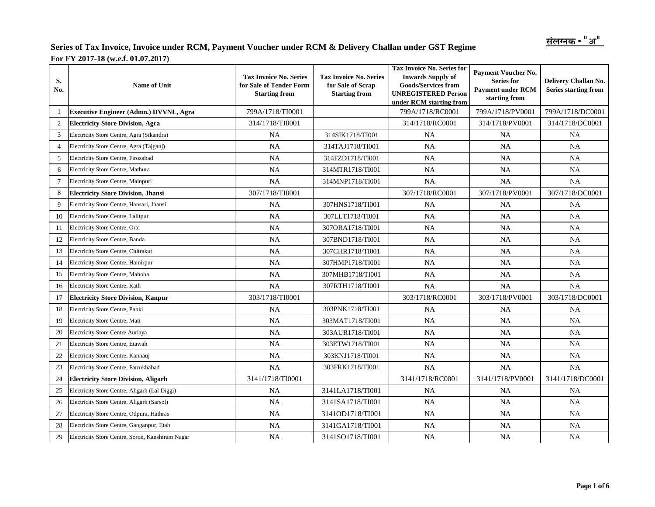| S.<br>No.      | Name of Unit                                     | <b>Tax Invoice No. Series</b><br>for Sale of Tender Form<br><b>Starting from</b> | <b>Tax Invoice No. Series for</b><br><b>Tax Invoice No. Series</b><br>for Sale of Scrap<br><b>Goods/Services from</b><br><b>UNREGISTERED Person</b><br><b>Starting from</b><br>under RCM starting from |                  | <b>Payment Voucher No.</b><br><b>Series for</b><br><b>Payment under RCM</b><br>starting from | Delivery Challan No.<br><b>Series starting from</b> |
|----------------|--------------------------------------------------|----------------------------------------------------------------------------------|--------------------------------------------------------------------------------------------------------------------------------------------------------------------------------------------------------|------------------|----------------------------------------------------------------------------------------------|-----------------------------------------------------|
| -1             | <b>Executive Engineer (Admn.) DVVNL, Agra</b>    | 799A/1718/TI0001                                                                 |                                                                                                                                                                                                        | 799A/1718/RC0001 | 799A/1718/PV0001                                                                             | 799A/1718/DC0001                                    |
| $\overline{c}$ | <b>Electricity Store Division, Agra</b>          | 314/1718/TI0001                                                                  |                                                                                                                                                                                                        | 314/1718/RC0001  | 314/1718/PV0001                                                                              | 314/1718/DC0001                                     |
| 3              | Electricity Store Centre, Agra (Sikandra)        | NA                                                                               | 314SIK1718/TI001                                                                                                                                                                                       | <b>NA</b>        | <b>NA</b>                                                                                    | <b>NA</b>                                           |
| $\overline{4}$ | Electricity Store Centre, Agra (Tajganj)         | NA                                                                               | 314TAJ1718/TI001                                                                                                                                                                                       | NA               | <b>NA</b>                                                                                    | NA                                                  |
| 5              | Electricity Store Centre, Firozabad              | NA                                                                               | 314FZD1718/TI001                                                                                                                                                                                       | NA               | NA                                                                                           | NA                                                  |
| 6              | Electricity Store Centre, Mathura                | NA                                                                               | 314MTR1718/TI001                                                                                                                                                                                       | NA               | NA                                                                                           | NA                                                  |
| $\overline{7}$ | Electricity Store Centre, Mainpuri               | NA                                                                               | 314MNP1718/TI001                                                                                                                                                                                       | NA               | <b>NA</b>                                                                                    | <b>NA</b>                                           |
| 8              | <b>Electricity Store Division, Jhansi</b>        | 307/1718/TI0001                                                                  |                                                                                                                                                                                                        | 307/1718/RC0001  | 307/1718/PV0001                                                                              | 307/1718/DC0001                                     |
| 9              | Electricity Store Centre, Hansari, Jhansi        | NA                                                                               | 307HNS1718/TI001                                                                                                                                                                                       | <b>NA</b>        | <b>NA</b>                                                                                    | NA                                                  |
| 10             | Electricity Store Centre, Lalitpur               | NA                                                                               | 307LLT1718/TI001                                                                                                                                                                                       | NA               | <b>NA</b>                                                                                    | <b>NA</b>                                           |
| 11             | Electricity Store Centre, Orai                   | <b>NA</b>                                                                        | NA<br>NA<br>307ORA1718/TI001                                                                                                                                                                           |                  |                                                                                              | NA                                                  |
| 12             | Electricity Store Centre, Banda                  | NA                                                                               | 307BND1718/TI001                                                                                                                                                                                       | <b>NA</b>        | NA                                                                                           | NA                                                  |
| 13             | Electricity Store Centre, Chitrakut              | NA                                                                               | 307CHR1718/TI001                                                                                                                                                                                       | <b>NA</b>        | <b>NA</b>                                                                                    | <b>NA</b>                                           |
| 14             | Electricity Store Centre, Hamirpur               | NA                                                                               | 307HMP1718/TI001                                                                                                                                                                                       | <b>NA</b>        | <b>NA</b>                                                                                    | <b>NA</b>                                           |
| 15             | Electricity Store Centre, Mahoba                 | NA                                                                               | 307MHB1718/TI001                                                                                                                                                                                       | <b>NA</b>        | NA                                                                                           | <b>NA</b>                                           |
| 16             | Electricity Store Centre, Rath                   | NA                                                                               | 307RTH1718/TI001                                                                                                                                                                                       | <b>NA</b>        | NA                                                                                           | NA                                                  |
| 17             | <b>Electricity Store Division, Kanpur</b>        | 303/1718/TI0001                                                                  |                                                                                                                                                                                                        | 303/1718/RC0001  | 303/1718/PV0001                                                                              | 303/1718/DC0001                                     |
| 18             | Electricity Store Centre, Panki                  | NA                                                                               | 303PNK1718/TI001                                                                                                                                                                                       | <b>NA</b>        | <b>NA</b>                                                                                    | NA                                                  |
| 19             | Electricity Store Centre, Mati                   | NA                                                                               | 303MAT1718/TI001                                                                                                                                                                                       | <b>NA</b>        | NA                                                                                           | NA                                                  |
| 20             | <b>Electricity Store Centre Auriaya</b>          | NA                                                                               | 303AUR1718/TI001                                                                                                                                                                                       | NA               | <b>NA</b>                                                                                    | <b>NA</b>                                           |
| 21             | Electricity Store Centre, Etawah                 | NA                                                                               | 303ETW1718/TI001                                                                                                                                                                                       | <b>NA</b>        | <b>NA</b>                                                                                    | NA                                                  |
| 22             | Electricity Store Centre, Kannauj                | NA                                                                               | <b>NA</b><br>NA<br>303KNJ1718/TI001                                                                                                                                                                    |                  |                                                                                              | <b>NA</b>                                           |
| 23             | Electricity Store Centre, Farrukhabad            | NA                                                                               | 303FRK1718/TI001                                                                                                                                                                                       | <b>NA</b>        | <b>NA</b>                                                                                    | <b>NA</b>                                           |
| 24             | <b>Electricity Store Division, Aligarh</b>       | 3141/1718/TI0001                                                                 |                                                                                                                                                                                                        | 3141/1718/RC0001 | 3141/1718/PV0001                                                                             | 3141/1718/DC0001                                    |
| 25             | Electricity Store Centre, Aligarh (Lal Diggi)    | <b>NA</b>                                                                        | 3141LA1718/TI001                                                                                                                                                                                       | <b>NA</b>        | <b>NA</b>                                                                                    | NA                                                  |
| 26             | Electricity Store Centre, Aligarh (Sarsol)       | NA                                                                               | 3141SA1718/TI001                                                                                                                                                                                       | <b>NA</b>        | <b>NA</b>                                                                                    | <b>NA</b>                                           |
| 27             | Electricity Store Centre, Odpura, Hathras        | NA                                                                               | 3141OD1718/TI001                                                                                                                                                                                       | <b>NA</b>        | <b>NA</b>                                                                                    | <b>NA</b>                                           |
| 28             | Electricity Store Centre, Ganganpur, Etah        | <b>NA</b>                                                                        | 3141GA1718/TI001                                                                                                                                                                                       | <b>NA</b>        | <b>NA</b>                                                                                    | <b>NA</b>                                           |
| 29             | Electricity Store Centre, Soron, Kanshiram Nagar | NA                                                                               | 3141SO1718/TI001                                                                                                                                                                                       | NA               | NA                                                                                           | NA                                                  |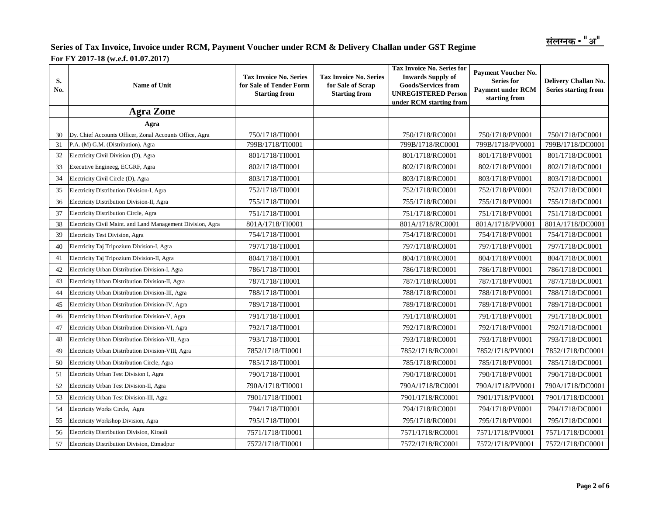| S.<br>No. | <b>Name of Unit</b>                                         | <b>Tax Invoice No. Series</b><br>for Sale of Tender Form<br><b>Starting from</b> | <b>Tax Invoice No. Series for</b><br><b>Tax Invoice No. Series</b><br>for Sale of Scrap<br><b>UNREGISTERED Person</b><br><b>Starting from</b><br>under RCM starting from |                  | Payment Voucher No.<br>Series for<br><b>Payment under RCM</b><br>starting from | Delivery Challan No.<br><b>Series starting from</b> |
|-----------|-------------------------------------------------------------|----------------------------------------------------------------------------------|--------------------------------------------------------------------------------------------------------------------------------------------------------------------------|------------------|--------------------------------------------------------------------------------|-----------------------------------------------------|
|           | <b>Agra Zone</b>                                            |                                                                                  |                                                                                                                                                                          |                  |                                                                                |                                                     |
|           | Agra                                                        |                                                                                  |                                                                                                                                                                          |                  |                                                                                |                                                     |
| 30        | Dy. Chief Accounts Officer, Zonal Accounts Office, Agra     | 750/1718/TI0001                                                                  |                                                                                                                                                                          | 750/1718/RC0001  | 750/1718/PV0001                                                                | 750/1718/DC0001                                     |
| 31        | P.A. (M) G.M. (Distribution), Agra                          | 799B/1718/TI0001                                                                 |                                                                                                                                                                          | 799B/1718/RC0001 | 799B/1718/PV0001                                                               | 799B/1718/DC0001                                    |
| 32        | Electricity Civil Division (D), Agra                        | 801/1718/TI0001                                                                  |                                                                                                                                                                          | 801/1718/RC0001  | 801/1718/PV0001                                                                | 801/1718/DC0001                                     |
| 33        | Executive Engineeg, ECGRF, Agra                             | 802/1718/TI0001                                                                  |                                                                                                                                                                          | 802/1718/RC0001  | 802/1718/PV0001                                                                | 802/1718/DC0001                                     |
| 34        | Electricity Civil Circle (D), Agra                          | 803/1718/TI0001                                                                  |                                                                                                                                                                          | 803/1718/RC0001  | 803/1718/PV0001                                                                | 803/1718/DC0001                                     |
| 35        | Electricity Distribution Division-I, Agra                   | 752/1718/TI0001                                                                  |                                                                                                                                                                          | 752/1718/RC0001  | 752/1718/PV0001                                                                | 752/1718/DC0001                                     |
| 36        | Electricity Distribution Division-II, Agra                  | 755/1718/TI0001                                                                  |                                                                                                                                                                          | 755/1718/RC0001  | 755/1718/PV0001                                                                | 755/1718/DC0001                                     |
| 37        | Electricity Distribution Circle, Agra                       | 751/1718/TI0001                                                                  |                                                                                                                                                                          | 751/1718/RC0001  | 751/1718/PV0001                                                                | 751/1718/DC0001                                     |
| 38        | Electricity Civil Maint. and Land Management Division, Agra | 801A/1718/TI0001                                                                 |                                                                                                                                                                          | 801A/1718/RC0001 | 801A/1718/PV0001                                                               | 801A/1718/DC0001                                    |
| 39        | <b>Electricity Test Division</b> , Agra                     | 754/1718/TI0001                                                                  |                                                                                                                                                                          | 754/1718/RC0001  | 754/1718/PV0001                                                                | 754/1718/DC0001                                     |
| 40        | Electricity Taj Tripozium Division-I, Agra                  | 797/1718/TI0001                                                                  |                                                                                                                                                                          | 797/1718/RC0001  | 797/1718/PV0001                                                                | 797/1718/DC0001                                     |
| 41        | Electricity Taj Tripozium Division-II, Agra                 | 804/1718/TI0001                                                                  |                                                                                                                                                                          | 804/1718/RC0001  | 804/1718/PV0001                                                                | 804/1718/DC0001                                     |
| 42        | Electricity Urban Distribution Division-I, Agra             | 786/1718/TI0001                                                                  |                                                                                                                                                                          | 786/1718/RC0001  | 786/1718/PV0001                                                                | 786/1718/DC0001                                     |
| 43        | Electricity Urban Distribution Division-II, Agra            | 787/1718/TI0001                                                                  |                                                                                                                                                                          | 787/1718/RC0001  | 787/1718/PV0001                                                                | 787/1718/DC0001                                     |
| 44        | Electricity Urban Distribution Division-III, Agra           | 788/1718/TI0001                                                                  |                                                                                                                                                                          | 788/1718/RC0001  | 788/1718/PV0001                                                                | 788/1718/DC0001                                     |
| 45        | Electricity Urban Distribution Division-IV, Agra            | 789/1718/TI0001                                                                  |                                                                                                                                                                          | 789/1718/RC0001  | 789/1718/PV0001                                                                | 789/1718/DC0001                                     |
| 46        | Electricity Urban Distribution Division-V, Agra             | 791/1718/TI0001                                                                  |                                                                                                                                                                          | 791/1718/RC0001  | 791/1718/PV0001                                                                | 791/1718/DC0001                                     |
| 47        | Electricity Urban Distribution Division-VI, Agra            | 792/1718/TI0001                                                                  |                                                                                                                                                                          | 792/1718/RC0001  | 792/1718/PV0001                                                                | 792/1718/DC0001                                     |
| 48        | Electricity Urban Distribution Division-VII, Agra           | 793/1718/TI0001                                                                  |                                                                                                                                                                          | 793/1718/RC0001  | 793/1718/PV0001                                                                | 793/1718/DC0001                                     |
| 49        | Electricity Urban Distribution Division-VIII, Agra          | 7852/1718/TI0001                                                                 |                                                                                                                                                                          | 7852/1718/RC0001 | 7852/1718/PV0001                                                               | 7852/1718/DC0001                                    |
| 50        | Electricity Urban Distribution Circle, Agra                 | 785/1718/TI0001                                                                  |                                                                                                                                                                          | 785/1718/RC0001  | 785/1718/PV0001                                                                | 785/1718/DC0001                                     |
| 51        | Electricity Urban Test Division I, Agra                     | 790/1718/TI0001                                                                  |                                                                                                                                                                          | 790/1718/RC0001  | 790/1718/PV0001                                                                | 790/1718/DC0001                                     |
| 52        | Electricity Urban Test Division-II, Agra                    | 790A/1718/TI0001                                                                 |                                                                                                                                                                          | 790A/1718/RC0001 | 790A/1718/PV0001                                                               | 790A/1718/DC0001                                    |
| 53        | Electricity Urban Test Division-III, Agra                   | 7901/1718/TI0001                                                                 |                                                                                                                                                                          | 7901/1718/RC0001 | 7901/1718/PV0001                                                               | 7901/1718/DC0001                                    |
| 54        | Electricity Works Circle, Agra                              | 794/1718/TI0001                                                                  |                                                                                                                                                                          | 794/1718/RC0001  | 794/1718/PV0001                                                                | 794/1718/DC0001                                     |
| 55        | Electricity Workshop Division, Agra                         | 795/1718/TI0001                                                                  |                                                                                                                                                                          | 795/1718/RC0001  | 795/1718/PV0001                                                                | 795/1718/DC0001                                     |
| 56        | Electricity Distribution Division, Kiraoli                  | 7571/1718/TI0001                                                                 |                                                                                                                                                                          | 7571/1718/RC0001 | 7571/1718/PV0001                                                               | 7571/1718/DC0001                                    |
| 57        | Electricity Distribution Division, Etmadpur                 | 7572/1718/TI0001                                                                 |                                                                                                                                                                          | 7572/1718/RC0001 | 7572/1718/PV0001                                                               | 7572/1718/DC0001                                    |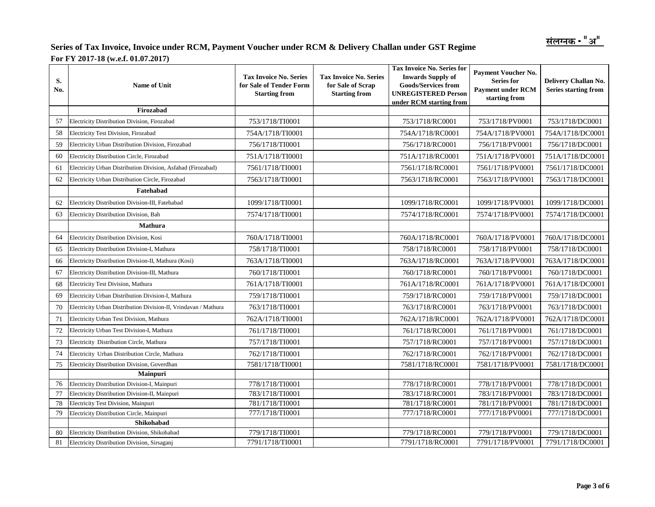| S.<br>No. | <b>Name of Unit</b>                                             | <b>Tax Invoice No. Series</b><br>for Sale of Tender Form<br><b>Starting from</b> | <b>Tax Invoice No. Series</b><br>for Sale of Scrap<br><b>Starting from</b> | <b>Tax Invoice No. Series for</b><br><b>Inwards Supply of</b><br><b>Goods/Services from</b><br><b>UNREGISTERED Person</b><br>under RCM starting from | <b>Payment Voucher No.</b><br><b>Series for</b><br><b>Payment under RCM</b><br>starting from | Delivery Challan No.<br><b>Series starting from</b> |
|-----------|-----------------------------------------------------------------|----------------------------------------------------------------------------------|----------------------------------------------------------------------------|------------------------------------------------------------------------------------------------------------------------------------------------------|----------------------------------------------------------------------------------------------|-----------------------------------------------------|
|           | Firozabad                                                       |                                                                                  |                                                                            |                                                                                                                                                      |                                                                                              |                                                     |
| 57        | Electricity Distribution Division, Firozabad                    | 753/1718/TI0001                                                                  |                                                                            | 753/1718/RC0001                                                                                                                                      | 753/1718/PV0001                                                                              | 753/1718/DC0001                                     |
| 58        | Electricity Test Division, Firozabad                            | 754A/1718/TI0001                                                                 |                                                                            | 754A/1718/RC0001                                                                                                                                     | 754A/1718/PV0001                                                                             | 754A/1718/DC0001                                    |
| 59        | Electricity Urban Distribution Division, Firozabad              | 756/1718/TI0001                                                                  |                                                                            | 756/1718/RC0001                                                                                                                                      | 756/1718/PV0001                                                                              | 756/1718/DC0001                                     |
| 60        | Electricity Distribution Circle, Firozabad                      | 751A/1718/TI0001                                                                 |                                                                            | 751A/1718/RC0001                                                                                                                                     | 751A/1718/PV0001                                                                             | 751A/1718/DC0001                                    |
| 61        | Electricity Urban Distribution Division, Asfabad (Firozabad)    | 7561/1718/TI0001                                                                 |                                                                            | 7561/1718/RC0001                                                                                                                                     | 7561/1718/PV0001                                                                             | 7561/1718/DC0001                                    |
| 62        | Electricity Urban Distribution Circle, Firozabad                | 7563/1718/TI0001                                                                 |                                                                            | 7563/1718/RC0001                                                                                                                                     | 7563/1718/PV0001                                                                             | 7563/1718/DC0001                                    |
|           | Fatehabad                                                       |                                                                                  |                                                                            |                                                                                                                                                      |                                                                                              |                                                     |
| 62        | Electricity Distribution Division-III, Fatehabad                | 1099/1718/TI0001                                                                 |                                                                            | 1099/1718/RC0001                                                                                                                                     | 1099/1718/PV0001                                                                             | 1099/1718/DC0001                                    |
| 63        | Electricity Distribution Division, Bah                          | 7574/1718/TI0001                                                                 |                                                                            | 7574/1718/RC0001                                                                                                                                     | 7574/1718/PV0001                                                                             | 7574/1718/DC0001                                    |
|           | Mathura                                                         |                                                                                  |                                                                            |                                                                                                                                                      |                                                                                              |                                                     |
| 64        | Electricity Distribution Division, Kosi                         | 760A/1718/TI0001                                                                 |                                                                            | 760A/1718/RC0001                                                                                                                                     | 760A/1718/PV0001                                                                             | 760A/1718/DC0001                                    |
| 65        | Electricity Distribution Division-I, Mathura                    | 758/1718/TI0001                                                                  |                                                                            | 758/1718/RC0001                                                                                                                                      | 758/1718/PV0001                                                                              | 758/1718/DC0001                                     |
| 66        | Electricity Distribution Division-II, Mathura (Kosi)            | 763A/1718/TI0001                                                                 |                                                                            | 763A/1718/RC0001                                                                                                                                     | 763A/1718/PV0001                                                                             | 763A/1718/DC0001                                    |
| 67        | Electricity Distribution Division-III, Mathura                  | 760/1718/TI0001                                                                  |                                                                            | 760/1718/RC0001                                                                                                                                      | 760/1718/PV0001                                                                              | 760/1718/DC0001                                     |
| 68        | Electricity Test Division, Mathura                              | 761A/1718/TI0001                                                                 |                                                                            | 761A/1718/RC0001                                                                                                                                     | 761A/1718/PV0001                                                                             | 761A/1718/DC0001                                    |
| 69        | Electricity Urban Distribution Division-I, Mathura              | 759/1718/TI0001                                                                  |                                                                            | 759/1718/RC0001                                                                                                                                      | 759/1718/PV0001                                                                              | 759/1718/DC0001                                     |
| 70        | Electricity Urban Distribution Division-II, Vrindavan / Mathura | 763/1718/TI0001                                                                  |                                                                            | 763/1718/RC0001                                                                                                                                      | 763/1718/PV0001                                                                              | 763/1718/DC0001                                     |
| 71        | Electricity Urban Test Division, Mathura                        | 762A/1718/TI0001                                                                 |                                                                            | 762A/1718/RC0001                                                                                                                                     | 762A/1718/PV0001                                                                             | 762A/1718/DC0001                                    |
| 72        | Electricity Urban Test Division-I, Mathura                      | 761/1718/TI0001                                                                  |                                                                            | 761/1718/RC0001                                                                                                                                      | 761/1718/PV0001                                                                              | 761/1718/DC0001                                     |
| 73        | Electricity Distribution Circle, Mathura                        | 757/1718/TI0001                                                                  |                                                                            | 757/1718/RC0001                                                                                                                                      | 757/1718/PV0001                                                                              | 757/1718/DC0001                                     |
| 74        | Electricity Urban Distribution Circle, Mathura                  | 762/1718/TI0001                                                                  |                                                                            | 762/1718/RC0001                                                                                                                                      | 762/1718/PV0001                                                                              | 762/1718/DC0001                                     |
| 75        | Electricity Distribution Division, Goverdhan                    | 7581/1718/TI0001                                                                 |                                                                            | 7581/1718/RC0001                                                                                                                                     | 7581/1718/PV0001                                                                             | 7581/1718/DC0001                                    |
|           | Mainpuri                                                        |                                                                                  |                                                                            |                                                                                                                                                      |                                                                                              |                                                     |
| 76        | Electricity Distribution Division-I, Mainpuri                   | 778/1718/TI0001                                                                  |                                                                            | 778/1718/RC0001                                                                                                                                      | 778/1718/PV0001                                                                              | 778/1718/DC0001                                     |
| 77        | Electricity Distribution Division-II, Mainpuri                  | 783/1718/TI0001                                                                  |                                                                            | 783/1718/RC0001                                                                                                                                      | 783/1718/PV0001                                                                              | 783/1718/DC0001                                     |
| 78        | Electricity Test Division, Mainpuri                             | 781/1718/TI0001                                                                  |                                                                            | 781/1718/RC0001                                                                                                                                      | 781/1718/PV0001                                                                              | 781/1718/DC0001                                     |
| 79        | Electricity Distribution Circle, Mainpuri                       | 777/1718/TI0001                                                                  |                                                                            | 777/1718/RC0001                                                                                                                                      | 777/1718/PV0001                                                                              | 777/1718/DC0001                                     |
|           | Shikohabad                                                      |                                                                                  |                                                                            |                                                                                                                                                      |                                                                                              |                                                     |
| 80        | Electricity Distribution Division, Shikohabad                   | 779/1718/TI0001                                                                  |                                                                            | 779/1718/RC0001                                                                                                                                      | 779/1718/PV0001                                                                              | 779/1718/DC0001                                     |
| 81        | Electricity Distribution Division, Sirsaganj                    | 7791/1718/TI0001                                                                 |                                                                            | 7791/1718/RC0001                                                                                                                                     | 7791/1718/PV0001                                                                             | 7791/1718/DC0001                                    |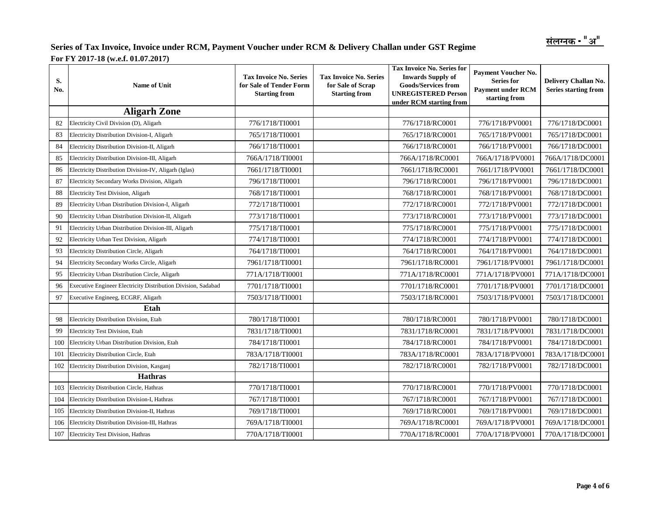| S.<br>No. | <b>Name of Unit</b>                                           | <b>Tax Invoice No. Series</b><br>for Sale of Tender Form<br><b>Starting from</b> | <b>Tax Invoice No. Series</b><br>for Sale of Scrap<br><b>Starting from</b> | <b>Tax Invoice No. Series for</b><br><b>Inwards Supply of</b><br><b>Goods/Services from</b><br><b>UNREGISTERED Person</b><br>under RCM starting from | <b>Payment Voucher No.</b><br><b>Series for</b><br><b>Payment under RCM</b><br>starting from | Delivery Challan No.<br><b>Series starting from</b> |
|-----------|---------------------------------------------------------------|----------------------------------------------------------------------------------|----------------------------------------------------------------------------|------------------------------------------------------------------------------------------------------------------------------------------------------|----------------------------------------------------------------------------------------------|-----------------------------------------------------|
|           | <b>Aligarh Zone</b>                                           |                                                                                  |                                                                            |                                                                                                                                                      |                                                                                              |                                                     |
| 82        | Electricity Civil Division (D), Aligarh                       | 776/1718/TI0001                                                                  |                                                                            | 776/1718/RC0001                                                                                                                                      | 776/1718/PV0001                                                                              | 776/1718/DC0001                                     |
| 83        | Electricity Distribution Division-I, Aligarh                  | 765/1718/TI0001                                                                  |                                                                            | 765/1718/RC0001                                                                                                                                      | 765/1718/PV0001                                                                              | 765/1718/DC0001                                     |
| 84        | Electricity Distribution Division-II, Aligarh                 | 766/1718/TI0001                                                                  |                                                                            | 766/1718/RC0001                                                                                                                                      | 766/1718/PV0001                                                                              | 766/1718/DC0001                                     |
| 85        | Electricity Distribution Division-III, Aligarh                | 766A/1718/TI0001                                                                 |                                                                            | 766A/1718/RC0001                                                                                                                                     | 766A/1718/PV0001                                                                             | 766A/1718/DC0001                                    |
| 86        | Electricity Distribution Division-IV, Aligarh (Iglas)         | 7661/1718/TI0001                                                                 |                                                                            | 7661/1718/RC0001                                                                                                                                     | 7661/1718/PV0001                                                                             | 7661/1718/DC0001                                    |
| 87        | Electricity Secondary Works Division, Aligarh                 | 796/1718/TI0001                                                                  |                                                                            | 796/1718/RC0001                                                                                                                                      | 796/1718/PV0001                                                                              | 796/1718/DC0001                                     |
| 88        | Electricity Test Division, Aligarh                            | 768/1718/TI0001                                                                  |                                                                            | 768/1718/RC0001                                                                                                                                      | 768/1718/PV0001                                                                              | 768/1718/DC0001                                     |
| 89        | Electricity Urban Distribution Division-I, Aligarh            | 772/1718/TI0001                                                                  |                                                                            | 772/1718/RC0001                                                                                                                                      | 772/1718/PV0001                                                                              | 772/1718/DC0001                                     |
| 90        | Electricity Urban Distribution Division-II, Aligarh           | 773/1718/TI0001                                                                  |                                                                            | 773/1718/RC0001                                                                                                                                      | 773/1718/PV0001                                                                              | 773/1718/DC0001                                     |
| 91        | Electricity Urban Distribution Division-III, Aligarh          | 775/1718/TI0001                                                                  |                                                                            | 775/1718/RC0001                                                                                                                                      | 775/1718/PV0001                                                                              | 775/1718/DC0001                                     |
| 92        | Electricity Urban Test Division, Aligarh                      | 774/1718/TI0001                                                                  |                                                                            | 774/1718/RC0001                                                                                                                                      | 774/1718/PV0001                                                                              | 774/1718/DC0001                                     |
| 93        | Electricity Distribution Circle, Aligarh                      | 764/1718/TI0001                                                                  |                                                                            | 764/1718/RC0001                                                                                                                                      | 764/1718/PV0001                                                                              | 764/1718/DC0001                                     |
| 94        | Electricity Secondary Works Circle, Aligarh                   | 7961/1718/TI0001                                                                 |                                                                            | 7961/1718/RC0001                                                                                                                                     | 7961/1718/PV0001                                                                             | 7961/1718/DC0001                                    |
| 95        | Electricity Urban Distribution Circle, Aligarh                | 771A/1718/TI0001                                                                 |                                                                            | 771A/1718/RC0001                                                                                                                                     | 771A/1718/PV0001                                                                             | 771A/1718/DC0001                                    |
| 96        | Executive Engineer Electricity Distribution Division, Sadabad | 7701/1718/TI0001                                                                 |                                                                            | 7701/1718/RC0001                                                                                                                                     | 7701/1718/PV0001                                                                             | 7701/1718/DC0001                                    |
| 97        | Executive Engineeg, ECGRF, Aligarh                            | 7503/1718/TI0001                                                                 |                                                                            | 7503/1718/RC0001                                                                                                                                     | 7503/1718/PV0001                                                                             | 7503/1718/DC0001                                    |
|           | Etah                                                          |                                                                                  |                                                                            |                                                                                                                                                      |                                                                                              |                                                     |
| 98        | Electricity Distribution Division, Etah                       | 780/1718/TI0001                                                                  |                                                                            | 780/1718/RC0001                                                                                                                                      | 780/1718/PV0001                                                                              | 780/1718/DC0001                                     |
| 99        | Electricity Test Division, Etah                               | 7831/1718/TI0001                                                                 |                                                                            | 7831/1718/RC0001                                                                                                                                     | 7831/1718/PV0001                                                                             | 7831/1718/DC0001                                    |
| 100       | Electricity Urban Distribution Division, Etah                 | 784/1718/TI0001                                                                  |                                                                            | 784/1718/RC0001                                                                                                                                      | 784/1718/PV0001                                                                              | 784/1718/DC0001                                     |
| 101       | Electricity Distribution Circle, Etah                         | 783A/1718/TI0001                                                                 |                                                                            | 783A/1718/RC0001                                                                                                                                     | 783A/1718/PV0001                                                                             | 783A/1718/DC0001                                    |
| 102       | Electricity Distribution Division, Kasganj                    | 782/1718/TI0001                                                                  |                                                                            | 782/1718/RC0001                                                                                                                                      | 782/1718/PV0001                                                                              | 782/1718/DC0001                                     |
|           | <b>Hathras</b>                                                |                                                                                  |                                                                            |                                                                                                                                                      |                                                                                              |                                                     |
| 103       | Electricity Distribution Circle, Hathras                      | 770/1718/TI0001                                                                  |                                                                            | 770/1718/RC0001                                                                                                                                      | 770/1718/PV0001                                                                              | 770/1718/DC0001                                     |
| 104       | Electricity Distribution Division-I, Hathras                  | 767/1718/TI0001                                                                  |                                                                            | 767/1718/RC0001                                                                                                                                      | 767/1718/PV0001                                                                              | 767/1718/DC0001                                     |
| 105       | Electricity Distribution Division-II, Hathras                 | 769/1718/TI0001                                                                  |                                                                            | 769/1718/RC0001                                                                                                                                      | 769/1718/PV0001                                                                              | 769/1718/DC0001                                     |
| 106       | Electricity Distribution Division-III, Hathras                | 769A/1718/TI0001                                                                 |                                                                            | 769A/1718/RC0001                                                                                                                                     | 769A/1718/PV0001                                                                             | 769A/1718/DC0001                                    |
| 107       | Electricity Test Division, Hathras                            | 770A/1718/TI0001                                                                 |                                                                            | 770A/1718/RC0001                                                                                                                                     | 770A/1718/PV0001                                                                             | 770A/1718/DC0001                                    |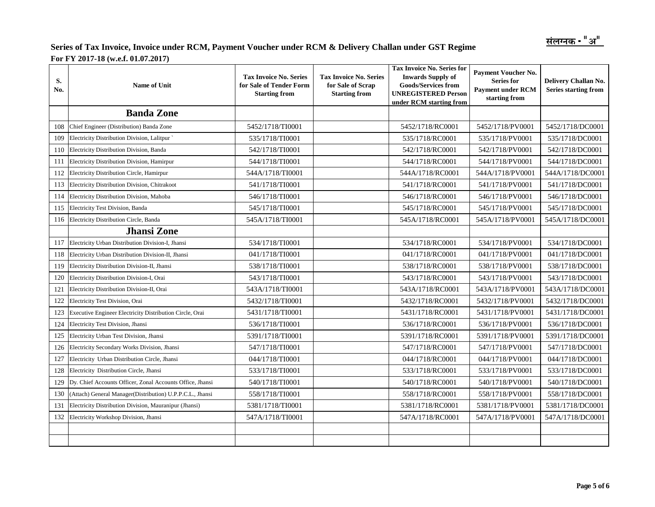| S.<br>No. | Name of Unit                                              | <b>Tax Invoice No. Series</b><br>for Sale of Tender Form<br><b>Starting from</b> | <b>Tax Invoice No. Series</b><br>for Sale of Scrap<br><b>Starting from</b> | <b>Tax Invoice No. Series for</b><br><b>Inwards Supply of</b><br><b>Goods/Services from</b><br><b>UNREGISTERED Person</b><br>under RCM starting from | <b>Payment Voucher No.</b><br><b>Series for</b><br><b>Payment under RCM</b><br>starting from | Delivery Challan No.<br>Series starting from |
|-----------|-----------------------------------------------------------|----------------------------------------------------------------------------------|----------------------------------------------------------------------------|------------------------------------------------------------------------------------------------------------------------------------------------------|----------------------------------------------------------------------------------------------|----------------------------------------------|
|           | <b>Banda Zone</b>                                         |                                                                                  |                                                                            |                                                                                                                                                      |                                                                                              |                                              |
| 108       | Chief Engineer (Distribution) Banda Zone                  | 5452/1718/TI0001                                                                 |                                                                            | 5452/1718/RC0001                                                                                                                                     | 5452/1718/PV0001                                                                             | 5452/1718/DC0001                             |
| 109       | Electricity Distribution Division, Lalitpur               | 535/1718/TI0001                                                                  |                                                                            | 535/1718/RC0001                                                                                                                                      | 535/1718/PV0001                                                                              | 535/1718/DC0001                              |
| 110       | Electricity Distribution Division, Banda                  | 542/1718/TI0001                                                                  |                                                                            | 542/1718/RC0001                                                                                                                                      | 542/1718/PV0001                                                                              | 542/1718/DC0001                              |
| 111       | Electricity Distribution Division, Hamirpur               | 544/1718/TI0001                                                                  |                                                                            | 544/1718/RC0001                                                                                                                                      | 544/1718/PV0001                                                                              | 544/1718/DC0001                              |
| 112       | Electricity Distribution Circle, Hamirpur                 | 544A/1718/TI0001                                                                 |                                                                            | 544A/1718/RC0001                                                                                                                                     | 544A/1718/PV0001                                                                             | 544A/1718/DC0001                             |
| 113       | Electricity Distribution Division, Chitrakoot             | 541/1718/TI0001                                                                  |                                                                            | 541/1718/RC0001                                                                                                                                      | 541/1718/PV0001                                                                              | 541/1718/DC0001                              |
| 114       | Electricity Distribution Division, Mahoba                 | 546/1718/TI0001                                                                  |                                                                            | 546/1718/RC0001                                                                                                                                      | 546/1718/PV0001                                                                              | 546/1718/DC0001                              |
| 115       | Electricity Test Division, Banda                          | 545/1718/TI0001                                                                  |                                                                            | 545/1718/RC0001                                                                                                                                      | 545/1718/PV0001                                                                              | 545/1718/DC0001                              |
| 116       | Electricity Distribution Circle, Banda                    | 545A/1718/TI0001                                                                 |                                                                            | 545A/1718/RC0001                                                                                                                                     | 545A/1718/PV0001                                                                             | 545A/1718/DC0001                             |
|           | <b>Jhansi Zone</b>                                        |                                                                                  |                                                                            |                                                                                                                                                      |                                                                                              |                                              |
| 117       | Electricity Urban Distribution Division-I, Jhansi         | 534/1718/TI0001                                                                  |                                                                            | 534/1718/RC0001                                                                                                                                      | 534/1718/PV0001                                                                              | 534/1718/DC0001                              |
| 118       | Electricity Urban Distribution Division-II, Jhansi        | 041/1718/TI0001                                                                  |                                                                            | 041/1718/RC0001                                                                                                                                      | 041/1718/PV0001                                                                              | 041/1718/DC0001                              |
| 119       | Electricity Distribution Division-II, Jhansi              | 538/1718/TI0001                                                                  |                                                                            | 538/1718/RC0001                                                                                                                                      | 538/1718/PV0001                                                                              | 538/1718/DC0001                              |
| 120       | Electricity Distribution Division-I, Orai                 | 543/1718/TI0001                                                                  |                                                                            | 543/1718/RC0001                                                                                                                                      | 543/1718/PV0001                                                                              | 543/1718/DC0001                              |
| 121       | Electricity Distribution Division-II, Orai                | 543A/1718/TI0001                                                                 |                                                                            | 543A/1718/RC0001                                                                                                                                     | 543A/1718/PV0001                                                                             | 543A/1718/DC0001                             |
| 122       | Electricity Test Division, Orai                           | 5432/1718/TI0001                                                                 |                                                                            | 5432/1718/RC0001                                                                                                                                     | 5432/1718/PV0001                                                                             | 5432/1718/DC0001                             |
| 123       | Executive Engineer Electricity Distribution Circle, Orai  | 5431/1718/TI0001                                                                 |                                                                            | 5431/1718/RC0001                                                                                                                                     | 5431/1718/PV0001                                                                             | 5431/1718/DC0001                             |
| 124       | Electricity Test Division, Jhansi                         | 536/1718/TI0001                                                                  |                                                                            | 536/1718/RC0001                                                                                                                                      | 536/1718/PV0001                                                                              | 536/1718/DC0001                              |
| 125       | Electricity Urban Test Division, Jhansi                   | 5391/1718/TI0001                                                                 |                                                                            | 5391/1718/RC0001                                                                                                                                     | 5391/1718/PV0001                                                                             | 5391/1718/DC0001                             |
| 126       | Electricity Secondary Works Division, Jhansi              | 547/1718/TI0001                                                                  |                                                                            | 547/1718/RC0001                                                                                                                                      | 547/1718/PV0001                                                                              | 547/1718/DC0001                              |
| 127       | Electricity Urban Distribution Circle, Jhansi             | 044/1718/TI0001                                                                  |                                                                            | 044/1718/RC0001                                                                                                                                      | 044/1718/PV0001                                                                              | 044/1718/DC0001                              |
| 128       | Electricity Distribution Circle, Jhansi                   | 533/1718/TI0001                                                                  |                                                                            | 533/1718/RC0001                                                                                                                                      | 533/1718/PV0001                                                                              | 533/1718/DC0001                              |
| 129       | Dy. Chief Accounts Officer, Zonal Accounts Office, Jhansi | 540/1718/TI0001                                                                  |                                                                            | 540/1718/RC0001                                                                                                                                      | 540/1718/PV0001                                                                              | 540/1718/DC0001                              |
| 130       | (Attach) General Manager(Distribution) U.P.P.C.L., Jhansi | 558/1718/TI0001                                                                  |                                                                            | 558/1718/RC0001                                                                                                                                      | 558/1718/PV0001                                                                              | 558/1718/DC0001                              |
| 131       | Electricity Distribution Division, Mauranipur (Jhansi)    | 5381/1718/TI0001                                                                 |                                                                            | 5381/1718/RC0001                                                                                                                                     | 5381/1718/PV0001                                                                             | 5381/1718/DC0001                             |
| 132       | Electricity Workshop Division, Jhansi                     | 547A/1718/TI0001                                                                 |                                                                            | 547A/1718/RC0001                                                                                                                                     | 547A/1718/PV0001                                                                             | 547A/1718/DC0001                             |
|           |                                                           |                                                                                  |                                                                            |                                                                                                                                                      |                                                                                              |                                              |
|           |                                                           |                                                                                  |                                                                            |                                                                                                                                                      |                                                                                              |                                              |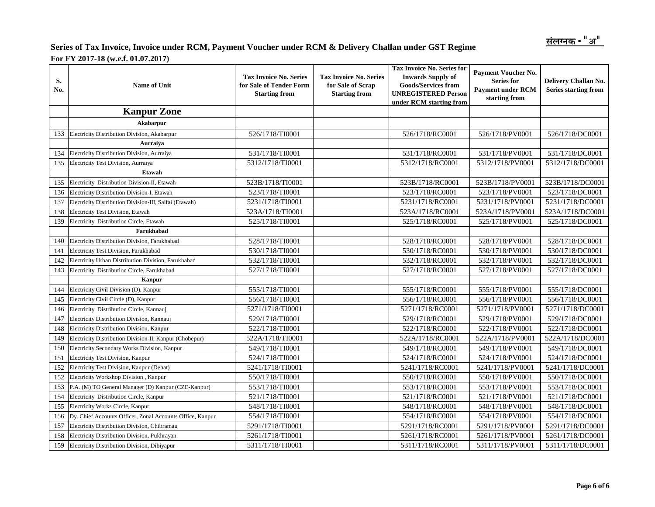| S.<br>No. | <b>Name of Unit</b>                                       | <b>Tax Invoice No. Series</b><br>for Sale of Tender Form<br><b>Starting from</b> | <b>Tax Invoice No. Series for</b><br><b>Tax Invoice No. Series</b><br>for Sale of Scrap<br><b>UNREGISTERED Person</b><br><b>Starting from</b><br>under RCM starting from |                  | Payment Voucher No.<br><b>Series for</b><br><b>Payment under RCM</b><br>starting from | Delivery Challan No.<br><b>Series starting from</b> |
|-----------|-----------------------------------------------------------|----------------------------------------------------------------------------------|--------------------------------------------------------------------------------------------------------------------------------------------------------------------------|------------------|---------------------------------------------------------------------------------------|-----------------------------------------------------|
|           | <b>Kanpur Zone</b>                                        |                                                                                  |                                                                                                                                                                          |                  |                                                                                       |                                                     |
|           | Akabarpur                                                 |                                                                                  |                                                                                                                                                                          |                  |                                                                                       |                                                     |
| 133       | Electricity Distribution Division, Akabarpur              | 526/1718/TI0001                                                                  |                                                                                                                                                                          | 526/1718/RC0001  | 526/1718/PV0001                                                                       | 526/1718/DC0001                                     |
|           | Aurraiva                                                  |                                                                                  |                                                                                                                                                                          |                  |                                                                                       |                                                     |
| 134       | Electricity Distribution Division, Aurraiya               | 531/1718/TI0001                                                                  |                                                                                                                                                                          | 531/1718/RC0001  | 531/1718/PV0001                                                                       | 531/1718/DC0001                                     |
| 135       | Electricity Test Division, Aurraiya                       | 5312/1718/TI0001                                                                 |                                                                                                                                                                          | 5312/1718/RC0001 | 5312/1718/PV0001                                                                      | 5312/1718/DC0001                                    |
|           | <b>Etawah</b>                                             |                                                                                  |                                                                                                                                                                          |                  |                                                                                       |                                                     |
| 135       | Electricity Distribution Division-II, Etawah              | 523B/1718/TI0001                                                                 |                                                                                                                                                                          | 523B/1718/RC0001 | 523B/1718/PV0001                                                                      | 523B/1718/DC0001                                    |
| 136       | Electricity Distribution Division-I, Etawah               | 523/1718/TI0001                                                                  |                                                                                                                                                                          | 523/1718/RC0001  | 523/1718/PV0001                                                                       | 523/1718/DC0001                                     |
| 137       | Electricity Distribution Division-III, Saifai (Etawah)    | 5231/1718/TI0001                                                                 |                                                                                                                                                                          | 5231/1718/RC0001 | 5231/1718/PV0001                                                                      | 5231/1718/DC0001                                    |
| 138       | Electricity Test Division, Etawah                         | 523A/1718/TI0001                                                                 |                                                                                                                                                                          | 523A/1718/RC0001 | 523A/1718/PV0001                                                                      | 523A/1718/DC0001                                    |
| 139       | Electricity Distribution Circle, Etawah                   | 525/1718/TI0001                                                                  |                                                                                                                                                                          | 525/1718/RC0001  | 525/1718/PV0001                                                                       | 525/1718/DC0001                                     |
|           | Farukhabad                                                |                                                                                  |                                                                                                                                                                          |                  |                                                                                       |                                                     |
| 140       | Electricity Distribution Division, Farukhabad             | 528/1718/TI0001                                                                  |                                                                                                                                                                          | 528/1718/RC0001  | 528/1718/PV0001                                                                       | 528/1718/DC0001                                     |
| 141       | Electricity Test Division, Farukhabad                     | 530/1718/TI0001                                                                  |                                                                                                                                                                          | 530/1718/RC0001  | 530/1718/PV0001                                                                       | 530/1718/DC0001                                     |
| 142       | Electricity Urban Distribution Division, Farukhabad       | 532/1718/TI0001                                                                  |                                                                                                                                                                          | 532/1718/RC0001  | 532/1718/PV0001                                                                       | 532/1718/DC0001                                     |
| 143       | Electricity Distribution Circle, Farukhabad               | 527/1718/TI0001                                                                  |                                                                                                                                                                          | 527/1718/RC0001  | 527/1718/PV0001                                                                       | 527/1718/DC0001                                     |
|           | Kanpur                                                    |                                                                                  |                                                                                                                                                                          |                  |                                                                                       |                                                     |
| 144       | Electricity Civil Division (D), Kanpur                    | 555/1718/TI0001                                                                  |                                                                                                                                                                          | 555/1718/RC0001  | 555/1718/PV0001                                                                       | 555/1718/DC0001                                     |
| 145       | Electricity Civil Circle (D), Kanpur                      | 556/1718/TI0001                                                                  |                                                                                                                                                                          | 556/1718/RC0001  | 556/1718/PV0001                                                                       | 556/1718/DC0001                                     |
| 146       | Electricity Distribution Circle, Kannauj                  | 5271/1718/TI0001                                                                 |                                                                                                                                                                          | 5271/1718/RC0001 | 5271/1718/PV0001                                                                      | 5271/1718/DC0001                                    |
| 147       | Electricity Distribution Division, Kannauj                | 529/1718/TI0001                                                                  |                                                                                                                                                                          | 529/1718/RC0001  | 529/1718/PV0001                                                                       | 529/1718/DC0001                                     |
| 148       | Electricity Distribution Division, Kanpur                 | 522/1718/TI0001                                                                  |                                                                                                                                                                          | 522/1718/RC0001  | 522/1718/PV0001                                                                       | 522/1718/DC0001                                     |
| 149       | Electricity Distribution Division-II, Kanpur (Chobepur)   | 522A/1718/TI0001                                                                 |                                                                                                                                                                          | 522A/1718/RC0001 | 522A/1718/PV0001                                                                      | 522A/1718/DC0001                                    |
| 150       | Electricity Secondary Works Division, Kanpur              | 549/1718/TI0001                                                                  |                                                                                                                                                                          | 549/1718/RC0001  | 549/1718/PV0001                                                                       | 549/1718/DC0001                                     |
| 151       | Electricity Test Division, Kanpur                         | 524/1718/TI0001                                                                  |                                                                                                                                                                          | 524/1718/RC0001  | 524/1718/PV0001                                                                       | 524/1718/DC0001                                     |
| 152       | Electricity Test Division, Kanpur (Dehat)                 | 5241/1718/TI0001                                                                 |                                                                                                                                                                          | 5241/1718/RC0001 | 5241/1718/PV0001                                                                      | 5241/1718/DC0001                                    |
| 152       | Electricity Workshop Division, Kanpur                     | 550/1718/TI0001                                                                  |                                                                                                                                                                          | 550/1718/RC0001  | 550/1718/PV0001                                                                       | 550/1718/DC0001                                     |
| 153       | P.A. (M) TO General Manager (D) Kanpur (CZE-Kanpur)       | 553/1718/TI0001                                                                  |                                                                                                                                                                          | 553/1718/RC0001  | 553/1718/PV0001                                                                       | 553/1718/DC0001                                     |
| 154       | Electricity Distribution Circle, Kanpur                   | 521/1718/TI0001                                                                  |                                                                                                                                                                          | 521/1718/RC0001  | 521/1718/PV0001                                                                       | 521/1718/DC0001                                     |
| 155       | Electricity Works Circle, Kanpur                          | 548/1718/TI0001                                                                  |                                                                                                                                                                          | 548/1718/RC0001  | 548/1718/PV0001                                                                       | 548/1718/DC0001                                     |
| 156       | Dy. Chief Accounts Officer, Zonal Accounts Office, Kanpur | 554/1718/TI0001                                                                  |                                                                                                                                                                          | 554/1718/RC0001  | 554/1718/PV0001                                                                       | 554/1718/DC0001                                     |
| 157       | Electricity Distribution Division, Chibramau              | 5291/1718/TI0001                                                                 |                                                                                                                                                                          | 5291/1718/RC0001 | 5291/1718/PV0001                                                                      | 5291/1718/DC0001                                    |
| 158       | Electricity Distribution Division, Pukhrayan              | 5261/1718/TI0001                                                                 |                                                                                                                                                                          | 5261/1718/RC0001 | 5261/1718/PV0001                                                                      | 5261/1718/DC0001                                    |
| 159       | Electricity Distribution Division, Dibiyapur              | 5311/1718/TI0001                                                                 |                                                                                                                                                                          | 5311/1718/RC0001 | 5311/1718/PV0001                                                                      | 5311/1718/DC0001                                    |